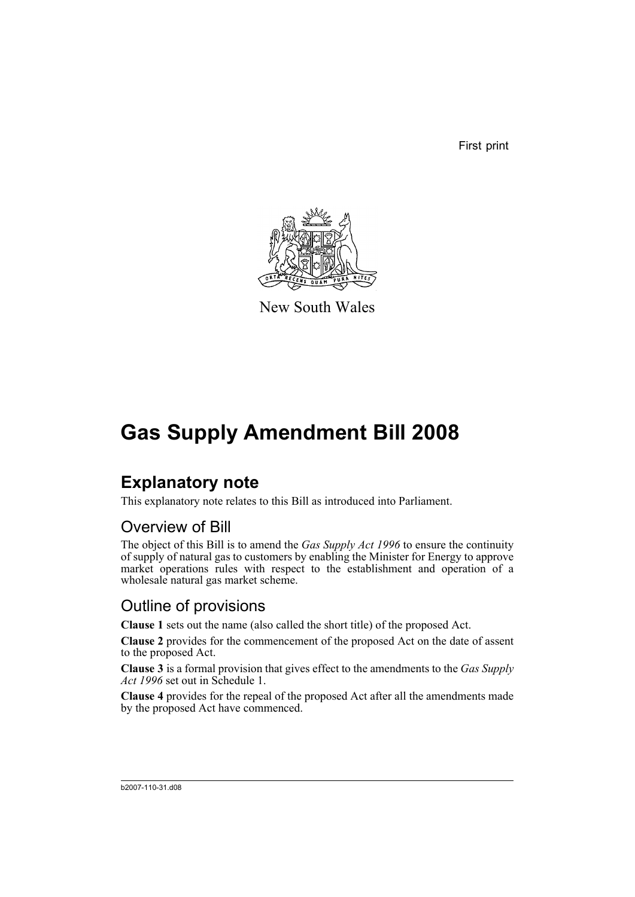First print



New South Wales

# **Gas Supply Amendment Bill 2008**

# **Explanatory note**

This explanatory note relates to this Bill as introduced into Parliament.

## Overview of Bill

The object of this Bill is to amend the *Gas Supply Act 1996* to ensure the continuity of supply of natural gas to customers by enabling the Minister for Energy to approve market operations rules with respect to the establishment and operation of a wholesale natural gas market scheme.

## Outline of provisions

**Clause 1** sets out the name (also called the short title) of the proposed Act.

**Clause 2** provides for the commencement of the proposed Act on the date of assent to the proposed Act.

**Clause 3** is a formal provision that gives effect to the amendments to the *Gas Supply Act 1996* set out in Schedule 1.

**Clause 4** provides for the repeal of the proposed Act after all the amendments made by the proposed Act have commenced.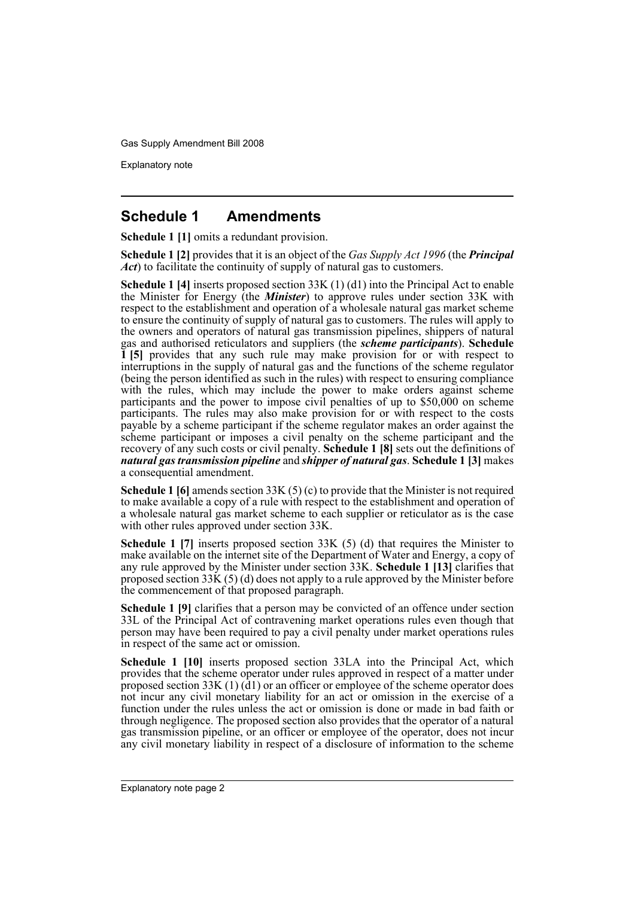Explanatory note

### **Schedule 1 Amendments**

**Schedule 1 [1]** omits a redundant provision.

**Schedule 1 [2]** provides that it is an object of the *Gas Supply Act 1996* (the *Principal Act*) to facilitate the continuity of supply of natural gas to customers.

**Schedule 1 [4]** inserts proposed section 33K (1) (d1) into the Principal Act to enable the Minister for Energy (the *Minister*) to approve rules under section 33K with respect to the establishment and operation of a wholesale natural gas market scheme to ensure the continuity of supply of natural gas to customers. The rules will apply to the owners and operators of natural gas transmission pipelines, shippers of natural gas and authorised reticulators and suppliers (the *scheme participants*). **Schedule 1 [5]** provides that any such rule may make provision for or with respect to interruptions in the supply of natural gas and the functions of the scheme regulator (being the person identified as such in the rules) with respect to ensuring compliance with the rules, which may include the power to make orders against scheme participants and the power to impose civil penalties of up to \$50,000 on scheme participants. The rules may also make provision for or with respect to the costs payable by a scheme participant if the scheme regulator makes an order against the scheme participant or imposes a civil penalty on the scheme participant and the recovery of any such costs or civil penalty. **Schedule 1 [8]** sets out the definitions of *natural gas transmission pipeline* and *shipper of natural gas*. **Schedule 1 [3]** makes a consequential amendment.

**Schedule 1 [6]** amends section 33K (5) (c) to provide that the Minister is not required to make available a copy of a rule with respect to the establishment and operation of a wholesale natural gas market scheme to each supplier or reticulator as is the case with other rules approved under section 33K.

**Schedule 1 [7]** inserts proposed section 33K (5) (d) that requires the Minister to make available on the internet site of the Department of Water and Energy, a copy of any rule approved by the Minister under section 33K. **Schedule 1 [13]** clarifies that proposed section  $33\text{K}(5)$  (d) does not apply to a rule approved by the Minister before the commencement of that proposed paragraph.

**Schedule 1 [9]** clarifies that a person may be convicted of an offence under section 33L of the Principal Act of contravening market operations rules even though that person may have been required to pay a civil penalty under market operations rules in respect of the same act or omission.

**Schedule 1 [10]** inserts proposed section 33LA into the Principal Act, which provides that the scheme operator under rules approved in respect of a matter under proposed section 33K (1)  $(d)$  or an officer or employee of the scheme operator does not incur any civil monetary liability for an act or omission in the exercise of a function under the rules unless the act or omission is done or made in bad faith or through negligence. The proposed section also provides that the operator of a natural gas transmission pipeline, or an officer or employee of the operator, does not incur any civil monetary liability in respect of a disclosure of information to the scheme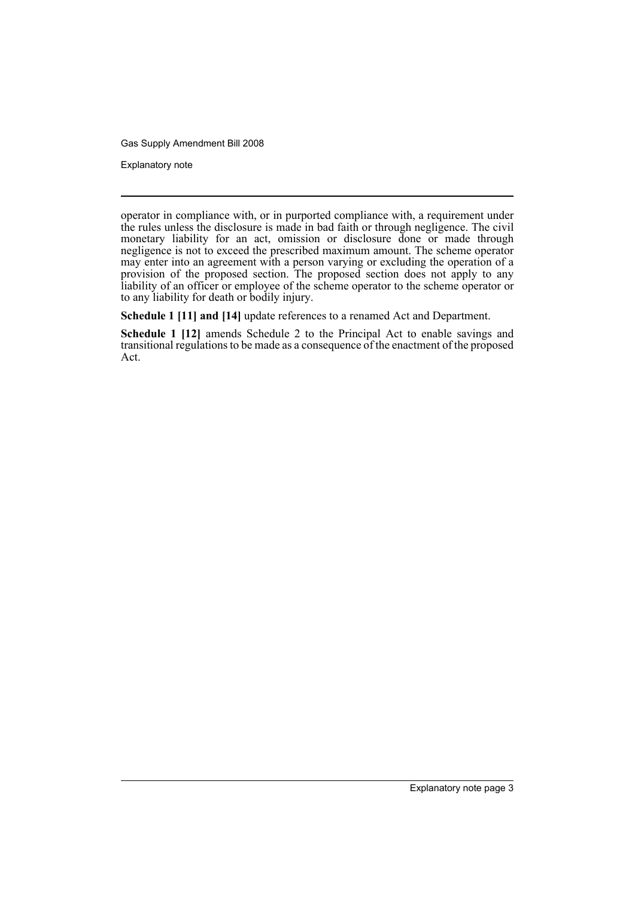Explanatory note

operator in compliance with, or in purported compliance with, a requirement under the rules unless the disclosure is made in bad faith or through negligence. The civil monetary liability for an act, omission or disclosure done or made through negligence is not to exceed the prescribed maximum amount. The scheme operator may enter into an agreement with a person varying or excluding the operation of a provision of the proposed section. The proposed section does not apply to any liability of an officer or employee of the scheme operator to the scheme operator or to any liability for death or bodily injury.

**Schedule 1 [11] and [14]** update references to a renamed Act and Department.

**Schedule 1 [12]** amends Schedule 2 to the Principal Act to enable savings and transitional regulations to be made as a consequence of the enactment of the proposed Act.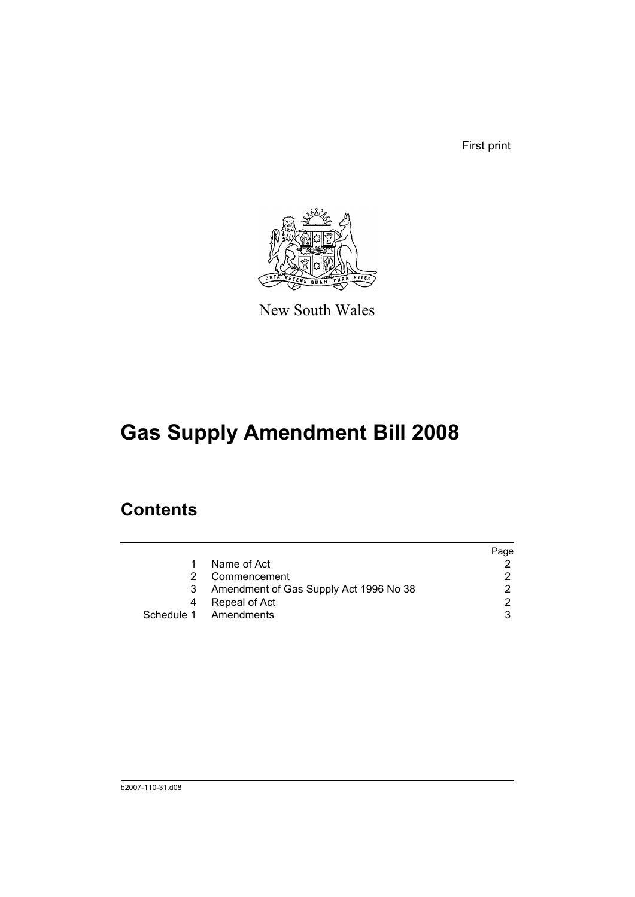First print



New South Wales

# **Gas Supply Amendment Bill 2008**

# **Contents**

|    |                                        | Page |
|----|----------------------------------------|------|
| 1  | Name of Act                            |      |
| 2. | Commencement                           |      |
| 3  | Amendment of Gas Supply Act 1996 No 38 |      |
| 4  | Repeal of Act                          |      |
|    | Schedule 1 Amendments                  |      |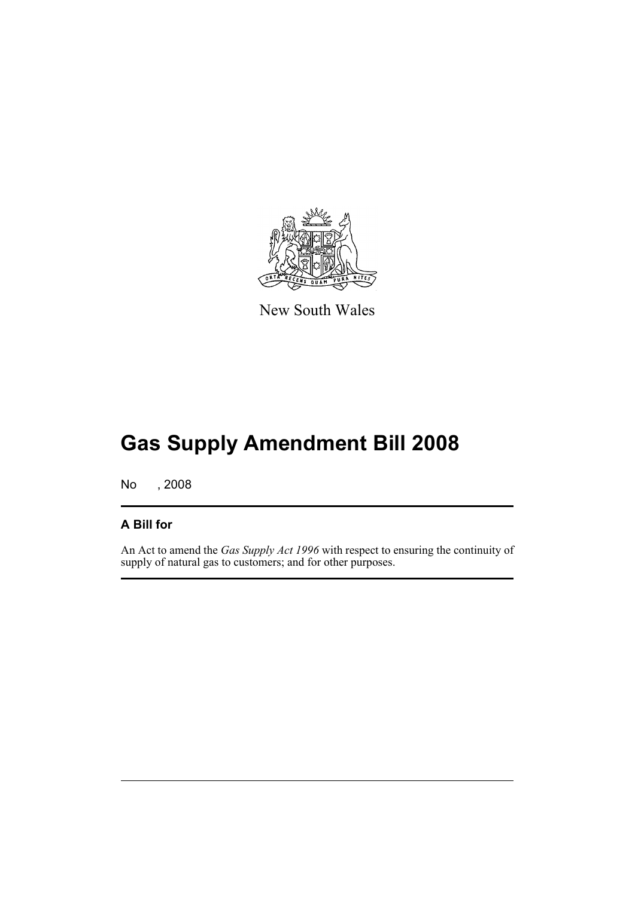

New South Wales

# **Gas Supply Amendment Bill 2008**

No , 2008

#### **A Bill for**

An Act to amend the *Gas Supply Act 1996* with respect to ensuring the continuity of supply of natural gas to customers; and for other purposes.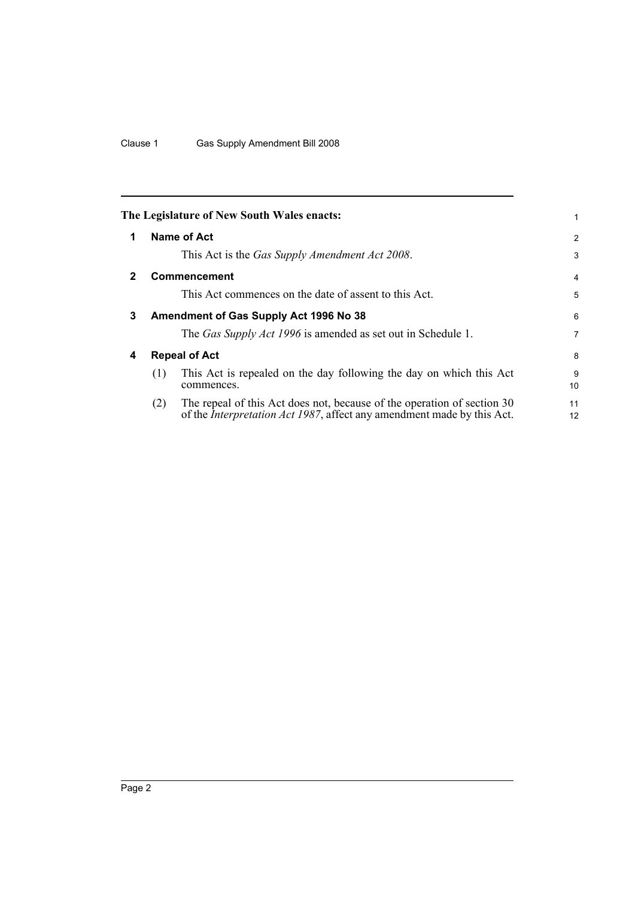<span id="page-7-3"></span><span id="page-7-2"></span><span id="page-7-1"></span><span id="page-7-0"></span>

|              |                                                                                                                  | The Legislature of New South Wales enacts:                                                                                                                | 1                   |  |  |
|--------------|------------------------------------------------------------------------------------------------------------------|-----------------------------------------------------------------------------------------------------------------------------------------------------------|---------------------|--|--|
| 1            |                                                                                                                  | Name of Act<br>This Act is the <i>Gas Supply Amendment Act 2008</i> .                                                                                     | $\overline{2}$<br>3 |  |  |
| $\mathbf{2}$ |                                                                                                                  | <b>Commencement</b><br>This Act commences on the date of assent to this Act.                                                                              | $\overline{4}$<br>5 |  |  |
| 3            |                                                                                                                  | Amendment of Gas Supply Act 1996 No 38<br>The Gas Supply Act 1996 is amended as set out in Schedule 1.                                                    | 6<br>$\overline{7}$ |  |  |
| 4            | <b>Repeal of Act</b><br>This Act is repealed on the day following the day on which this Act<br>(1)<br>commences. |                                                                                                                                                           |                     |  |  |
|              | (2)                                                                                                              | The repeal of this Act does not, because of the operation of section 30<br>of the <i>Interpretation Act 1987</i> , affect any amendment made by this Act. | 11<br>12            |  |  |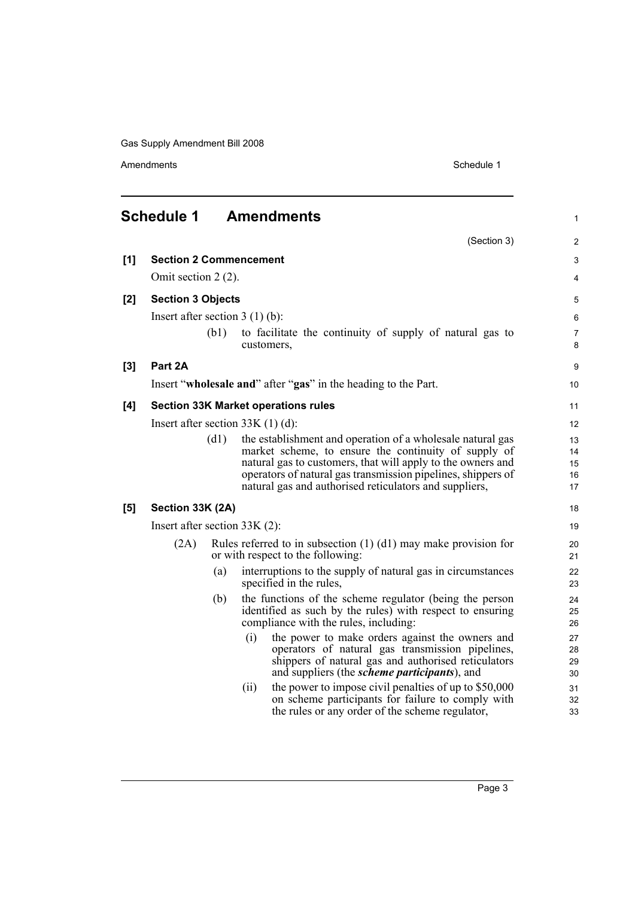Amendments Schedule 1

<span id="page-8-0"></span>

|     | <b>Schedule 1</b>                  |                     |      | <b>Amendments</b>                                                                                                                                                                                                                                                                                           | $\mathbf{1}$               |  |
|-----|------------------------------------|---------------------|------|-------------------------------------------------------------------------------------------------------------------------------------------------------------------------------------------------------------------------------------------------------------------------------------------------------------|----------------------------|--|
|     |                                    |                     |      | (Section 3)                                                                                                                                                                                                                                                                                                 | 2                          |  |
| [1] | <b>Section 2 Commencement</b>      |                     |      |                                                                                                                                                                                                                                                                                                             | 3                          |  |
|     |                                    | Omit section 2 (2). |      |                                                                                                                                                                                                                                                                                                             |                            |  |
| [2] | <b>Section 3 Objects</b>           |                     |      |                                                                                                                                                                                                                                                                                                             | 5                          |  |
|     | Insert after section $3(1)(b)$ :   |                     |      |                                                                                                                                                                                                                                                                                                             | $\,6$                      |  |
|     |                                    | (b1)                |      | to facilitate the continuity of supply of natural gas to<br>customers,                                                                                                                                                                                                                                      | 7<br>8                     |  |
| [3] | Part 2A                            |                     |      |                                                                                                                                                                                                                                                                                                             | 9                          |  |
|     |                                    |                     |      | Insert "wholesale and" after "gas" in the heading to the Part.                                                                                                                                                                                                                                              | 10                         |  |
| [4] |                                    |                     |      | <b>Section 33K Market operations rules</b>                                                                                                                                                                                                                                                                  | 11                         |  |
|     | Insert after section $33K(1)(d)$ : |                     |      |                                                                                                                                                                                                                                                                                                             | 12                         |  |
|     |                                    | (d1)                |      | the establishment and operation of a wholesale natural gas<br>market scheme, to ensure the continuity of supply of<br>natural gas to customers, that will apply to the owners and<br>operators of natural gas transmission pipelines, shippers of<br>natural gas and authorised reticulators and suppliers, | 13<br>14<br>15<br>16<br>17 |  |
| [5] | Section 33K (2A)                   |                     |      |                                                                                                                                                                                                                                                                                                             | 18                         |  |
|     | Insert after section $33K(2)$ :    |                     |      |                                                                                                                                                                                                                                                                                                             | 19                         |  |
|     | (2A)                               |                     |      | Rules referred to in subsection $(1)$ $(d1)$ may make provision for<br>or with respect to the following:                                                                                                                                                                                                    | 20<br>21                   |  |
|     |                                    | (a)                 |      | interruptions to the supply of natural gas in circumstances<br>specified in the rules,                                                                                                                                                                                                                      | 22<br>23                   |  |
|     |                                    | (b)                 |      | the functions of the scheme regulator (being the person<br>identified as such by the rules) with respect to ensuring<br>compliance with the rules, including:                                                                                                                                               | 24<br>25<br>26             |  |
|     |                                    |                     | (i)  | the power to make orders against the owners and<br>operators of natural gas transmission pipelines,<br>shippers of natural gas and authorised reticulators<br>and suppliers (the <i>scheme participants</i> ), and                                                                                          | 27<br>28<br>29<br>30       |  |
|     |                                    |                     | (ii) | the power to impose civil penalties of up to \$50,000<br>on scheme participants for failure to comply with<br>the rules or any order of the scheme regulator,                                                                                                                                               | 31<br>32<br>33             |  |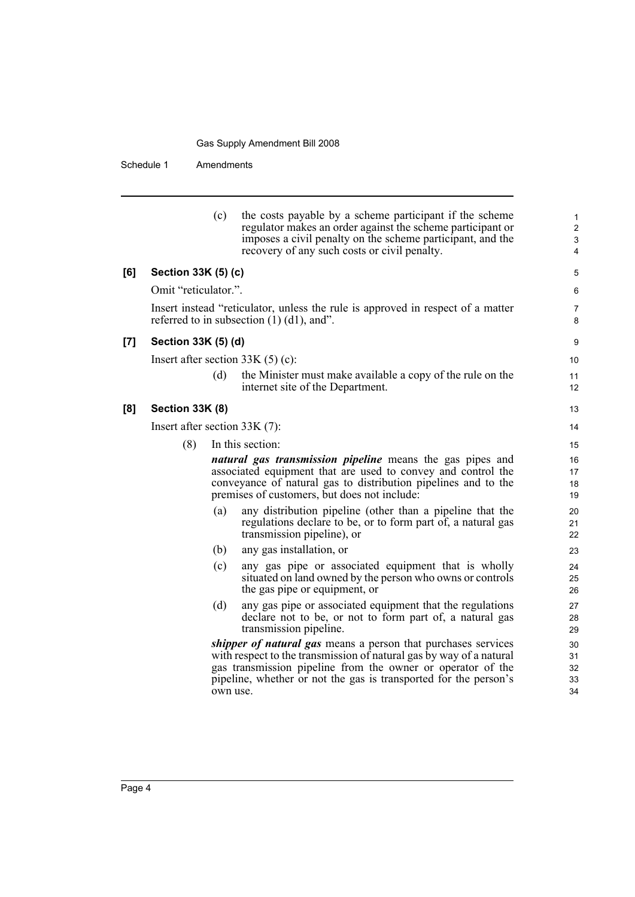Schedule 1 Amendments

|                     |                                 | (c)      | the costs payable by a scheme participant if the scheme<br>regulator makes an order against the scheme participant or<br>imposes a civil penalty on the scheme participant, and the<br>recovery of any such costs or civil penalty.                                     | $\mathbf{1}$<br>$\overline{2}$<br>3<br>4 |
|---------------------|---------------------------------|----------|-------------------------------------------------------------------------------------------------------------------------------------------------------------------------------------------------------------------------------------------------------------------------|------------------------------------------|
| [6]                 | Section 33K (5) (c)             |          |                                                                                                                                                                                                                                                                         | 5                                        |
|                     | Omit "reticulator.".            |          |                                                                                                                                                                                                                                                                         | 6                                        |
|                     |                                 |          | Insert instead "reticulator, unless the rule is approved in respect of a matter<br>referred to in subsection $(1)$ $(d1)$ , and".                                                                                                                                       | 7<br>8                                   |
| $\lbrack 7 \rbrack$ | Section 33K (5) (d)             |          |                                                                                                                                                                                                                                                                         | 9                                        |
|                     |                                 |          | Insert after section $33K(5)(c)$ :                                                                                                                                                                                                                                      | 10                                       |
|                     |                                 | (d)      | the Minister must make available a copy of the rule on the<br>internet site of the Department.                                                                                                                                                                          | 11<br>12                                 |
| [8]                 | Section 33K (8)                 |          |                                                                                                                                                                                                                                                                         | 13                                       |
|                     | Insert after section $33K(7)$ : |          |                                                                                                                                                                                                                                                                         | 14                                       |
|                     | (8)                             |          | In this section:                                                                                                                                                                                                                                                        | 15                                       |
|                     |                                 |          | natural gas transmission pipeline means the gas pipes and<br>associated equipment that are used to convey and control the<br>conveyance of natural gas to distribution pipelines and to the<br>premises of customers, but does not include:                             | 16<br>17<br>18<br>19                     |
|                     |                                 | (a)      | any distribution pipeline (other than a pipeline that the<br>regulations declare to be, or to form part of, a natural gas<br>transmission pipeline), or                                                                                                                 | 20<br>21<br>22                           |
|                     |                                 | (b)      | any gas installation, or                                                                                                                                                                                                                                                | 23                                       |
|                     |                                 | (c)      | any gas pipe or associated equipment that is wholly<br>situated on land owned by the person who owns or controls<br>the gas pipe or equipment, or                                                                                                                       | 24<br>25<br>26                           |
|                     |                                 | (d)      | any gas pipe or associated equipment that the regulations<br>declare not to be, or not to form part of, a natural gas<br>transmission pipeline.                                                                                                                         | 27<br>28<br>29                           |
|                     |                                 | own use. | shipper of natural gas means a person that purchases services<br>with respect to the transmission of natural gas by way of a natural<br>gas transmission pipeline from the owner or operator of the<br>pipeline, whether or not the gas is transported for the person's | 30<br>31<br>32<br>33<br>34               |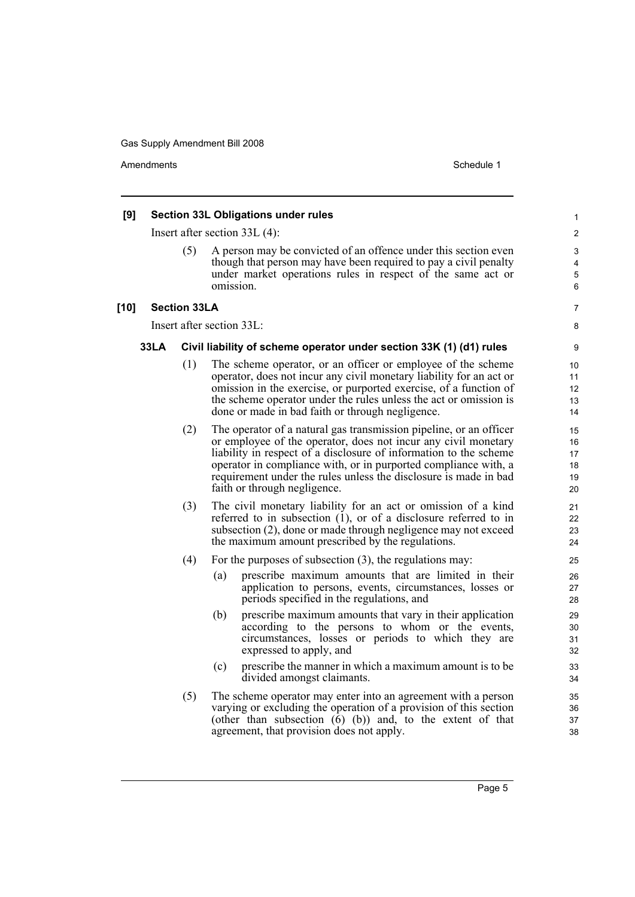Amendments **Amendments** Schedule 1

#### **[9] Section 33L Obligations under rules** Insert after section 33L (4): (5) A person may be convicted of an offence under this section even though that person may have been required to pay a civil penalty under market operations rules in respect of the same act or omission. **[10] Section 33LA** Insert after section 33L: **33LA Civil liability of scheme operator under section 33K (1) (d1) rules** (1) The scheme operator, or an officer or employee of the scheme operator, does not incur any civil monetary liability for an act or omission in the exercise, or purported exercise, of a function of the scheme operator under the rules unless the act or omission is done or made in bad faith or through negligence. (2) The operator of a natural gas transmission pipeline, or an officer or employee of the operator, does not incur any civil monetary liability in respect of a disclosure of information to the scheme operator in compliance with, or in purported compliance with, a requirement under the rules unless the disclosure is made in bad faith or through negligence. (3) The civil monetary liability for an act or omission of a kind referred to in subsection  $(1)$ , or of a disclosure referred to in subsection (2), done or made through negligence may not exceed the maximum amount prescribed by the regulations. (4) For the purposes of subsection (3), the regulations may: (a) prescribe maximum amounts that are limited in their application to persons, events, circumstances, losses or periods specified in the regulations, and (b) prescribe maximum amounts that vary in their application according to the persons to whom or the events, circumstances, losses or periods to which they are expressed to apply, and (c) prescribe the manner in which a maximum amount is to be divided amongst claimants. (5) The scheme operator may enter into an agreement with a person varying or excluding the operation of a provision of this section (other than subsection  $(6)$   $(b)$ ) and, to the extent of that agreement, that provision does not apply. 1  $\mathfrak{p}$ 3 4 5 6 7 8 9 10 11 12 13 14 15 16 17 18 19 20 21  $22$ 23 24 25 26 27 28 29 30 31 32 33 34 35 36 37 38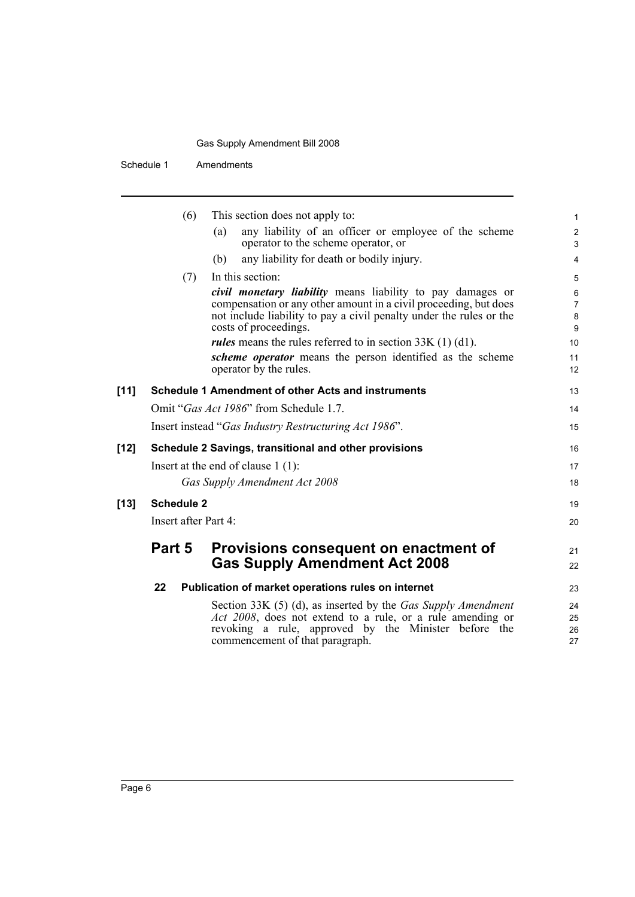Schedule 1 Amendments

|        | (6)                  | This section does not apply to:                                                                                                                                                                                                       |
|--------|----------------------|---------------------------------------------------------------------------------------------------------------------------------------------------------------------------------------------------------------------------------------|
|        |                      | any liability of an officer or employee of the scheme<br>(a)<br>operator to the scheme operator, or                                                                                                                                   |
|        |                      | any liability for death or bodily injury.<br>(b)                                                                                                                                                                                      |
|        | (7)                  | In this section:                                                                                                                                                                                                                      |
|        |                      | <i>civil monetary liability</i> means liability to pay damages or<br>compensation or any other amount in a civil proceeding, but does<br>not include liability to pay a civil penalty under the rules or the<br>costs of proceedings. |
|        |                      | <i>rules</i> means the rules referred to in section $33K(1)(d1)$ .                                                                                                                                                                    |
|        |                      | scheme operator means the person identified as the scheme<br>operator by the rules.                                                                                                                                                   |
| $[11]$ |                      | <b>Schedule 1 Amendment of other Acts and instruments</b>                                                                                                                                                                             |
|        |                      | Omit "Gas Act 1986" from Schedule 1.7.                                                                                                                                                                                                |
|        |                      | Insert instead "Gas Industry Restructuring Act 1986".                                                                                                                                                                                 |
| [12]   |                      | Schedule 2 Savings, transitional and other provisions                                                                                                                                                                                 |
|        |                      | Insert at the end of clause $1(1)$ :                                                                                                                                                                                                  |
|        |                      | Gas Supply Amendment Act 2008                                                                                                                                                                                                         |
| [13]   | <b>Schedule 2</b>    |                                                                                                                                                                                                                                       |
|        | Insert after Part 4: |                                                                                                                                                                                                                                       |
|        | Part 5               | Provisions consequent on enactment of<br><b>Gas Supply Amendment Act 2008</b>                                                                                                                                                         |
|        | 22                   | Publication of market operations rules on internet                                                                                                                                                                                    |
|        |                      | Section 33K (5) (d), as inserted by the Gas Supply Amendment<br>Act 2008, does not extend to a rule, or a rule amending or<br>revoking a rule, approved by the Minister before the<br>commencement of that paragraph.                 |